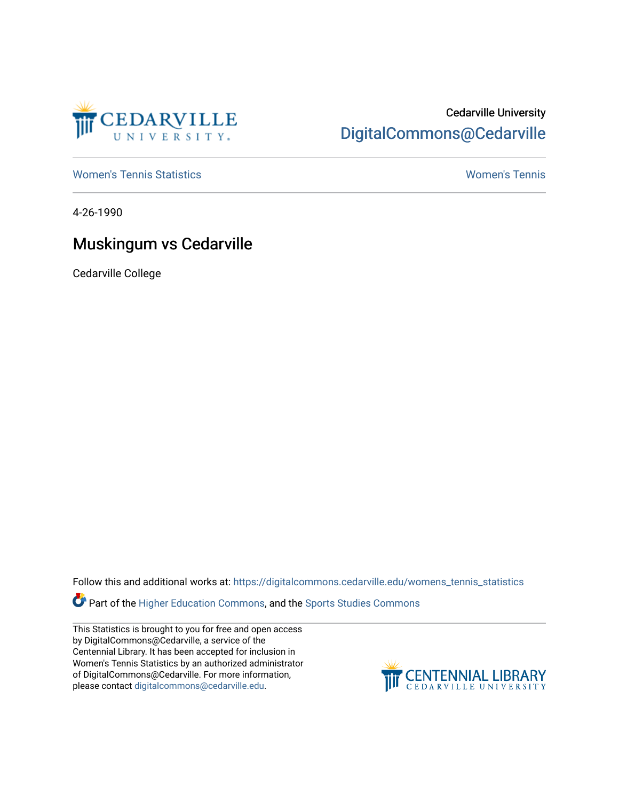

## Cedarville University [DigitalCommons@Cedarville](https://digitalcommons.cedarville.edu/)

[Women's Tennis Statistics](https://digitalcommons.cedarville.edu/womens_tennis_statistics) [Women's Tennis](https://digitalcommons.cedarville.edu/womens_tennis) 

4-26-1990

## Muskingum vs Cedarville

Cedarville College

Follow this and additional works at: [https://digitalcommons.cedarville.edu/womens\\_tennis\\_statistics](https://digitalcommons.cedarville.edu/womens_tennis_statistics?utm_source=digitalcommons.cedarville.edu%2Fwomens_tennis_statistics%2F114&utm_medium=PDF&utm_campaign=PDFCoverPages) 

Part of the [Higher Education Commons,](http://network.bepress.com/hgg/discipline/1245?utm_source=digitalcommons.cedarville.edu%2Fwomens_tennis_statistics%2F114&utm_medium=PDF&utm_campaign=PDFCoverPages) and the [Sports Studies Commons](http://network.bepress.com/hgg/discipline/1198?utm_source=digitalcommons.cedarville.edu%2Fwomens_tennis_statistics%2F114&utm_medium=PDF&utm_campaign=PDFCoverPages) 

This Statistics is brought to you for free and open access by DigitalCommons@Cedarville, a service of the Centennial Library. It has been accepted for inclusion in Women's Tennis Statistics by an authorized administrator of DigitalCommons@Cedarville. For more information, please contact [digitalcommons@cedarville.edu](mailto:digitalcommons@cedarville.edu).